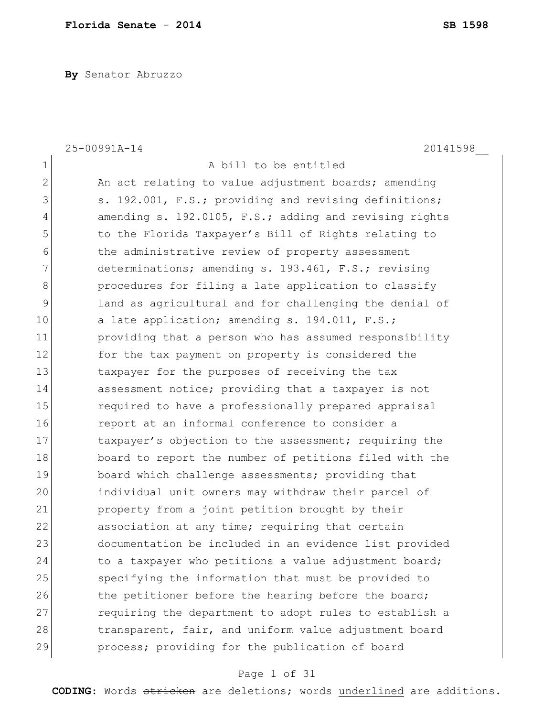**By** Senator Abruzzo

|                | 25-00991A-14<br>20141598                               |
|----------------|--------------------------------------------------------|
| $\mathbf 1$    | A bill to be entitled                                  |
| $\overline{2}$ | An act relating to value adjustment boards; amending   |
| 3              | s. 192.001, F.S.; providing and revising definitions;  |
| 4              | amending s. 192.0105, F.S.; adding and revising rights |
| 5              | to the Florida Taxpayer's Bill of Rights relating to   |
| 6              | the administrative review of property assessment       |
| 7              | determinations; amending s. 193.461, F.S.; revising    |
| 8              | procedures for filing a late application to classify   |
| 9              | land as agricultural and for challenging the denial of |
| 10             | a late application; amending s. 194.011, F.S.;         |
| 11             | providing that a person who has assumed responsibility |
| 12             | for the tax payment on property is considered the      |
| 13             | taxpayer for the purposes of receiving the tax         |
| 14             | assessment notice; providing that a taxpayer is not    |
| 15             | required to have a professionally prepared appraisal   |
| 16             | report at an informal conference to consider a         |
| 17             | taxpayer's objection to the assessment; requiring the  |
| 18             | board to report the number of petitions filed with the |
| 19             | board which challenge assessments; providing that      |
| 20             | individual unit owners may withdraw their parcel of    |
| 21             | property from a joint petition brought by their        |
| 22             | association at any time; requiring that certain        |
| 23             | documentation be included in an evidence list provided |
| 24             | to a taxpayer who petitions a value adjustment board;  |
| 25             | specifying the information that must be provided to    |
| 26             | the petitioner before the hearing before the board;    |
| 27             | requiring the department to adopt rules to establish a |
| 28             | transparent, fair, and uniform value adjustment board  |
| 29             | process; providing for the publication of board        |

# Page 1 of 31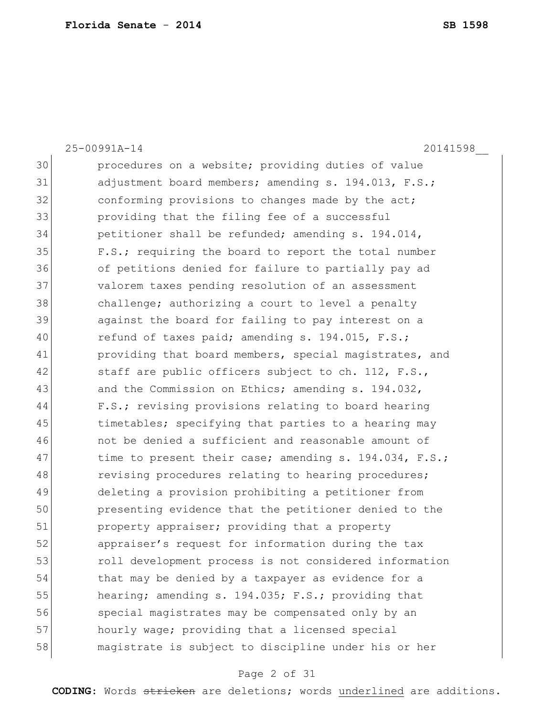25-00991A-14 20141598\_\_ 30 **procedures on a website; providing duties of value** 31 adjustment board members; amending s. 194.013, F.S.; 32 conforming provisions to changes made by the act; 33 providing that the filing fee of a successful  $34$  petitioner shall be refunded; amending s. 194.014, 35 F.S.; requiring the board to report the total number 36 of petitions denied for failure to partially pay ad 37 valorem taxes pending resolution of an assessment 38 challenge; authorizing a court to level a penalty 39 against the board for failing to pay interest on a 40 refund of taxes paid; amending s. 194.015, F.S.; 41 providing that board members, special magistrates, and 42  $\vert$  staff are public officers subject to ch. 112, F.S., 43 and the Commission on Ethics; amending s. 194.032, 44 F.S.; revising provisions relating to board hearing 45 timetables; specifying that parties to a hearing may 46 not be denied a sufficient and reasonable amount of 47 time to present their case; amending s. 194.034, F.S.; 48 revising procedures relating to hearing procedures; 49 deleting a provision prohibiting a petitioner from 50 presenting evidence that the petitioner denied to the 51 property appraiser; providing that a property 52 **b** appraiser's request for information during the tax 53 **b** roll development process is not considered information 54 that may be denied by a taxpayer as evidence for a 55 hearing; amending s. 194.035; F.S.; providing that 56 special magistrates may be compensated only by an 57 hourly wage; providing that a licensed special 58 magistrate is subject to discipline under his or her

### Page 2 of 31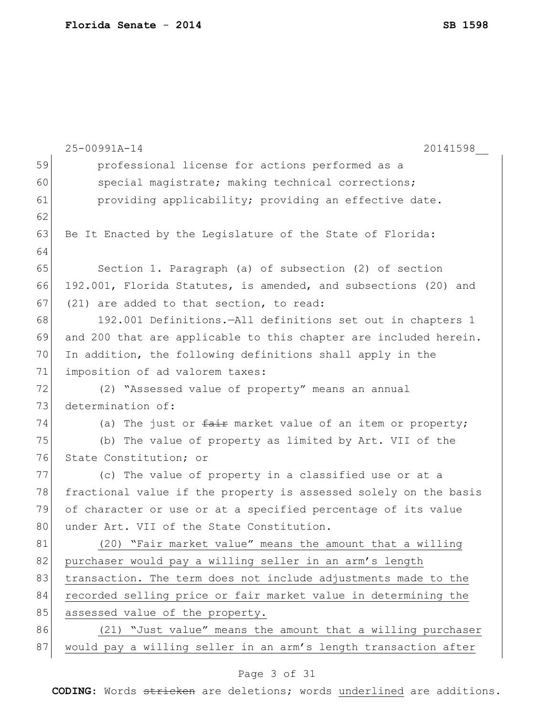| 59<br>professional license for actions performed as a<br>60<br>special magistrate; making technical corrections;<br>61<br>providing applicability; providing an effective date.<br>62<br>63<br>Be It Enacted by the Legislature of the State of Florida:<br>64<br>65<br>Section 1. Paragraph (a) of subsection (2) of section<br>66<br>192.001, Florida Statutes, is amended, and subsections (20) and<br>67<br>(21) are added to that section, to read:<br>68<br>192.001 Definitions.-All definitions set out in chapters 1<br>69<br>and 200 that are applicable to this chapter are included herein.<br>70<br>In addition, the following definitions shall apply in the<br>71<br>imposition of ad valorem taxes:<br>72<br>(2) "Assessed value of property" means an annual<br>73<br>determination of:<br>74<br>(a) The just or fair market value of an item or property;<br>75<br>(b) The value of property as limited by Art. VII of the<br>76<br>State Constitution; or<br>77<br>(c) The value of property in a classified use or at a<br>78<br>fractional value if the property is assessed solely on the basis<br>79<br>of character or use or at a specified percentage of its value<br>80<br>under Art. VII of the State Constitution.<br>81<br>(20) "Fair market value" means the amount that a willing<br>82<br>purchaser would pay a willing seller in an arm's length<br>83<br>transaction. The term does not include adjustments made to the<br>84<br>recorded selling price or fair market value in determining the<br>85<br>assessed value of the property.<br>86<br>(21) "Just value" means the amount that a willing purchaser |    | 25-00991A-14<br>20141598                                        |
|-------------------------------------------------------------------------------------------------------------------------------------------------------------------------------------------------------------------------------------------------------------------------------------------------------------------------------------------------------------------------------------------------------------------------------------------------------------------------------------------------------------------------------------------------------------------------------------------------------------------------------------------------------------------------------------------------------------------------------------------------------------------------------------------------------------------------------------------------------------------------------------------------------------------------------------------------------------------------------------------------------------------------------------------------------------------------------------------------------------------------------------------------------------------------------------------------------------------------------------------------------------------------------------------------------------------------------------------------------------------------------------------------------------------------------------------------------------------------------------------------------------------------------------------------------------------------------------------------------------------------------------------------|----|-----------------------------------------------------------------|
|                                                                                                                                                                                                                                                                                                                                                                                                                                                                                                                                                                                                                                                                                                                                                                                                                                                                                                                                                                                                                                                                                                                                                                                                                                                                                                                                                                                                                                                                                                                                                                                                                                                 |    |                                                                 |
|                                                                                                                                                                                                                                                                                                                                                                                                                                                                                                                                                                                                                                                                                                                                                                                                                                                                                                                                                                                                                                                                                                                                                                                                                                                                                                                                                                                                                                                                                                                                                                                                                                                 |    |                                                                 |
|                                                                                                                                                                                                                                                                                                                                                                                                                                                                                                                                                                                                                                                                                                                                                                                                                                                                                                                                                                                                                                                                                                                                                                                                                                                                                                                                                                                                                                                                                                                                                                                                                                                 |    |                                                                 |
|                                                                                                                                                                                                                                                                                                                                                                                                                                                                                                                                                                                                                                                                                                                                                                                                                                                                                                                                                                                                                                                                                                                                                                                                                                                                                                                                                                                                                                                                                                                                                                                                                                                 |    |                                                                 |
|                                                                                                                                                                                                                                                                                                                                                                                                                                                                                                                                                                                                                                                                                                                                                                                                                                                                                                                                                                                                                                                                                                                                                                                                                                                                                                                                                                                                                                                                                                                                                                                                                                                 |    |                                                                 |
|                                                                                                                                                                                                                                                                                                                                                                                                                                                                                                                                                                                                                                                                                                                                                                                                                                                                                                                                                                                                                                                                                                                                                                                                                                                                                                                                                                                                                                                                                                                                                                                                                                                 |    |                                                                 |
|                                                                                                                                                                                                                                                                                                                                                                                                                                                                                                                                                                                                                                                                                                                                                                                                                                                                                                                                                                                                                                                                                                                                                                                                                                                                                                                                                                                                                                                                                                                                                                                                                                                 |    |                                                                 |
|                                                                                                                                                                                                                                                                                                                                                                                                                                                                                                                                                                                                                                                                                                                                                                                                                                                                                                                                                                                                                                                                                                                                                                                                                                                                                                                                                                                                                                                                                                                                                                                                                                                 |    |                                                                 |
|                                                                                                                                                                                                                                                                                                                                                                                                                                                                                                                                                                                                                                                                                                                                                                                                                                                                                                                                                                                                                                                                                                                                                                                                                                                                                                                                                                                                                                                                                                                                                                                                                                                 |    |                                                                 |
|                                                                                                                                                                                                                                                                                                                                                                                                                                                                                                                                                                                                                                                                                                                                                                                                                                                                                                                                                                                                                                                                                                                                                                                                                                                                                                                                                                                                                                                                                                                                                                                                                                                 |    |                                                                 |
|                                                                                                                                                                                                                                                                                                                                                                                                                                                                                                                                                                                                                                                                                                                                                                                                                                                                                                                                                                                                                                                                                                                                                                                                                                                                                                                                                                                                                                                                                                                                                                                                                                                 |    |                                                                 |
|                                                                                                                                                                                                                                                                                                                                                                                                                                                                                                                                                                                                                                                                                                                                                                                                                                                                                                                                                                                                                                                                                                                                                                                                                                                                                                                                                                                                                                                                                                                                                                                                                                                 |    |                                                                 |
|                                                                                                                                                                                                                                                                                                                                                                                                                                                                                                                                                                                                                                                                                                                                                                                                                                                                                                                                                                                                                                                                                                                                                                                                                                                                                                                                                                                                                                                                                                                                                                                                                                                 |    |                                                                 |
|                                                                                                                                                                                                                                                                                                                                                                                                                                                                                                                                                                                                                                                                                                                                                                                                                                                                                                                                                                                                                                                                                                                                                                                                                                                                                                                                                                                                                                                                                                                                                                                                                                                 |    |                                                                 |
|                                                                                                                                                                                                                                                                                                                                                                                                                                                                                                                                                                                                                                                                                                                                                                                                                                                                                                                                                                                                                                                                                                                                                                                                                                                                                                                                                                                                                                                                                                                                                                                                                                                 |    |                                                                 |
|                                                                                                                                                                                                                                                                                                                                                                                                                                                                                                                                                                                                                                                                                                                                                                                                                                                                                                                                                                                                                                                                                                                                                                                                                                                                                                                                                                                                                                                                                                                                                                                                                                                 |    |                                                                 |
|                                                                                                                                                                                                                                                                                                                                                                                                                                                                                                                                                                                                                                                                                                                                                                                                                                                                                                                                                                                                                                                                                                                                                                                                                                                                                                                                                                                                                                                                                                                                                                                                                                                 |    |                                                                 |
|                                                                                                                                                                                                                                                                                                                                                                                                                                                                                                                                                                                                                                                                                                                                                                                                                                                                                                                                                                                                                                                                                                                                                                                                                                                                                                                                                                                                                                                                                                                                                                                                                                                 |    |                                                                 |
|                                                                                                                                                                                                                                                                                                                                                                                                                                                                                                                                                                                                                                                                                                                                                                                                                                                                                                                                                                                                                                                                                                                                                                                                                                                                                                                                                                                                                                                                                                                                                                                                                                                 |    |                                                                 |
|                                                                                                                                                                                                                                                                                                                                                                                                                                                                                                                                                                                                                                                                                                                                                                                                                                                                                                                                                                                                                                                                                                                                                                                                                                                                                                                                                                                                                                                                                                                                                                                                                                                 |    |                                                                 |
|                                                                                                                                                                                                                                                                                                                                                                                                                                                                                                                                                                                                                                                                                                                                                                                                                                                                                                                                                                                                                                                                                                                                                                                                                                                                                                                                                                                                                                                                                                                                                                                                                                                 |    |                                                                 |
|                                                                                                                                                                                                                                                                                                                                                                                                                                                                                                                                                                                                                                                                                                                                                                                                                                                                                                                                                                                                                                                                                                                                                                                                                                                                                                                                                                                                                                                                                                                                                                                                                                                 |    |                                                                 |
|                                                                                                                                                                                                                                                                                                                                                                                                                                                                                                                                                                                                                                                                                                                                                                                                                                                                                                                                                                                                                                                                                                                                                                                                                                                                                                                                                                                                                                                                                                                                                                                                                                                 |    |                                                                 |
|                                                                                                                                                                                                                                                                                                                                                                                                                                                                                                                                                                                                                                                                                                                                                                                                                                                                                                                                                                                                                                                                                                                                                                                                                                                                                                                                                                                                                                                                                                                                                                                                                                                 |    |                                                                 |
|                                                                                                                                                                                                                                                                                                                                                                                                                                                                                                                                                                                                                                                                                                                                                                                                                                                                                                                                                                                                                                                                                                                                                                                                                                                                                                                                                                                                                                                                                                                                                                                                                                                 |    |                                                                 |
|                                                                                                                                                                                                                                                                                                                                                                                                                                                                                                                                                                                                                                                                                                                                                                                                                                                                                                                                                                                                                                                                                                                                                                                                                                                                                                                                                                                                                                                                                                                                                                                                                                                 |    |                                                                 |
|                                                                                                                                                                                                                                                                                                                                                                                                                                                                                                                                                                                                                                                                                                                                                                                                                                                                                                                                                                                                                                                                                                                                                                                                                                                                                                                                                                                                                                                                                                                                                                                                                                                 |    |                                                                 |
|                                                                                                                                                                                                                                                                                                                                                                                                                                                                                                                                                                                                                                                                                                                                                                                                                                                                                                                                                                                                                                                                                                                                                                                                                                                                                                                                                                                                                                                                                                                                                                                                                                                 |    |                                                                 |
|                                                                                                                                                                                                                                                                                                                                                                                                                                                                                                                                                                                                                                                                                                                                                                                                                                                                                                                                                                                                                                                                                                                                                                                                                                                                                                                                                                                                                                                                                                                                                                                                                                                 | 87 | would pay a willing seller in an arm's length transaction after |

# Page 3 of 31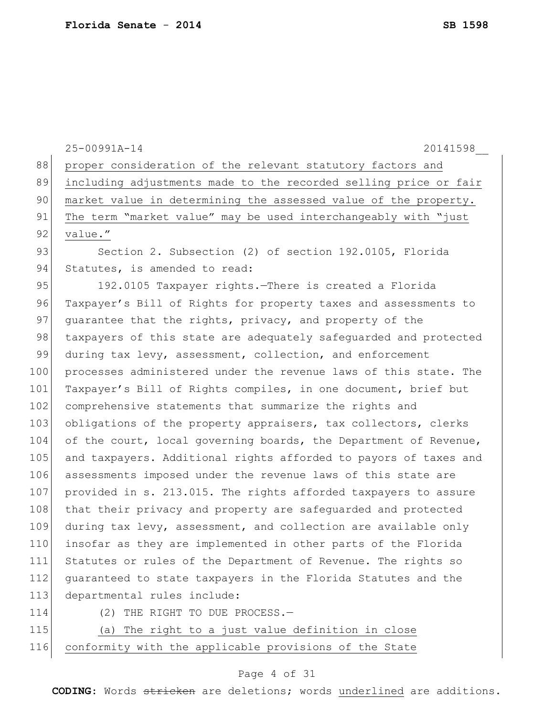|     | 25-00991A-14<br>20141598                                         |
|-----|------------------------------------------------------------------|
| 88  | proper consideration of the relevant statutory factors and       |
| 89  | including adjustments made to the recorded selling price or fair |
| 90  | market value in determining the assessed value of the property.  |
| 91  | The term "market value" may be used interchangeably with "just   |
| 92  | value."                                                          |
| 93  | Section 2. Subsection (2) of section 192.0105, Florida           |
| 94  | Statutes, is amended to read:                                    |
| 95  | 192.0105 Taxpayer rights. There is created a Florida             |
| 96  | Taxpayer's Bill of Rights for property taxes and assessments to  |
| 97  | quarantee that the rights, privacy, and property of the          |
| 98  | taxpayers of this state are adequately safeguarded and protected |
| 99  | during tax levy, assessment, collection, and enforcement         |
| 100 | processes administered under the revenue laws of this state. The |
| 101 | Taxpayer's Bill of Rights compiles, in one document, brief but   |
| 102 | comprehensive statements that summarize the rights and           |
| 103 | obligations of the property appraisers, tax collectors, clerks   |
| 104 | of the court, local governing boards, the Department of Revenue, |
| 105 | and taxpayers. Additional rights afforded to payors of taxes and |
| 106 | assessments imposed under the revenue laws of this state are     |
| 107 | provided in s. 213.015. The rights afforded taxpayers to assure  |
| 108 | that their privacy and property are safequarded and protected    |
| 109 | during tax levy, assessment, and collection are available only   |
| 110 | insofar as they are implemented in other parts of the Florida    |
| 111 | Statutes or rules of the Department of Revenue. The rights so    |
| 112 | quaranteed to state taxpayers in the Florida Statutes and the    |
| 113 | departmental rules include:                                      |
| 114 | THE RIGHT TO DUE PROCESS.-<br>(2)                                |
| 115 | The right to a just value definition in close<br>(a)             |
| 116 | conformity with the applicable provisions of the State           |

# Page 4 of 31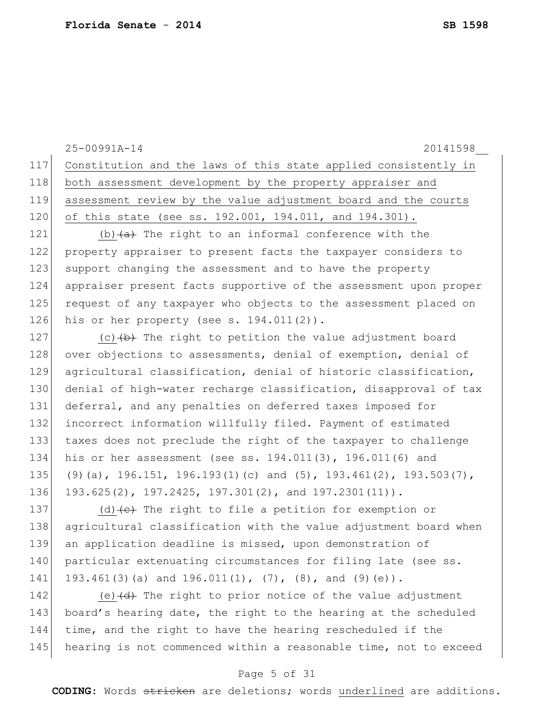|     | 25-00991A-14<br>20141598                                                          |
|-----|-----------------------------------------------------------------------------------|
| 117 | Constitution and the laws of this state applied consistently in                   |
| 118 | both assessment development by the property appraiser and                         |
| 119 | assessment review by the value adjustment board and the courts                    |
| 120 | of this state (see ss. 192.001, 194.011, and 194.301).                            |
| 121 | (b) $(a)$ The right to an informal conference with the                            |
| 122 | property appraiser to present facts the taxpayer considers to                     |
| 123 | support changing the assessment and to have the property                          |
| 124 | appraiser present facts supportive of the assessment upon proper                  |
| 125 | request of any taxpayer who objects to the assessment placed on                   |
| 126 | his or her property (see s. $194.011(2)$ ).                                       |
| 127 | (c) $(b)$ The right to petition the value adjustment board                        |
| 128 | over objections to assessments, denial of exemption, denial of                    |
| 129 | agricultural classification, denial of historic classification,                   |
| 130 | denial of high-water recharge classification, disapproval of tax                  |
| 131 | deferral, and any penalties on deferred taxes imposed for                         |
| 132 | incorrect information willfully filed. Payment of estimated                       |
| 133 | taxes does not preclude the right of the taxpayer to challenge                    |
| 134 | his or her assessment (see ss. $194.011(3)$ , $196.011(6)$ and                    |
| 135 | $(9)$ (a), 196.151, 196.193(1)(c) and (5), 193.461(2), 193.503(7),                |
| 136 | 193.625(2), 197.2425, 197.301(2), and 197.2301(11)).                              |
| 137 | (d) $\left\{ e\right\}$ The right to file a petition for exemption or             |
| 138 | agricultural classification with the value adjustment board when                  |
| 139 | an application deadline is missed, upon demonstration of                          |
| 140 | particular extenuating circumstances for filing late (see ss.                     |
| 141 | 193.461(3)(a) and 196.011(1), $(7)$ , (8), and (9)(e)).                           |
| 142 | (e) $\left(\frac{d}{dt}\right)$ The right to prior notice of the value adjustment |
| 143 | board's hearing date, the right to the hearing at the scheduled                   |
| 144 | time, and the right to have the hearing rescheduled if the                        |
| 145 | hearing is not commenced within a reasonable time, not to exceed                  |

# Page 5 of 31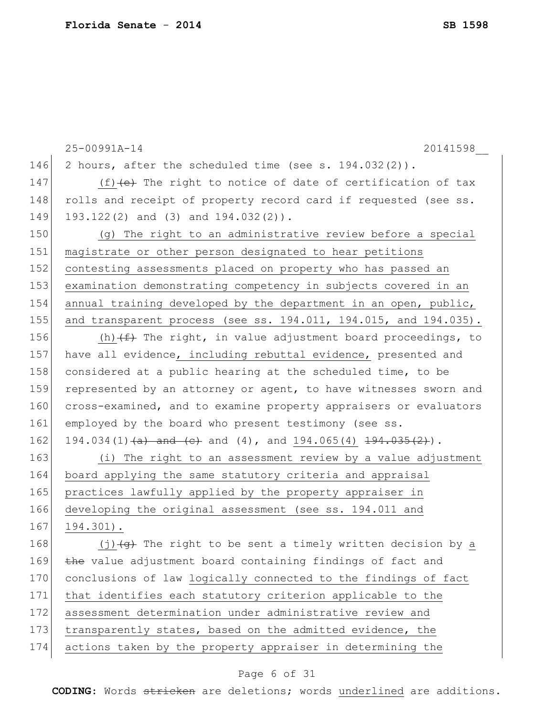|     | 25-00991A-14<br>20141598                                                           |
|-----|------------------------------------------------------------------------------------|
| 146 | 2 hours, after the scheduled time (see s. $194.032(2)$ ).                          |
| 147 | (f) $(e)$ The right to notice of date of certification of tax                      |
| 148 | rolls and receipt of property record card if requested (see ss.                    |
| 149 | 193.122(2) and (3) and 194.032(2)).                                                |
| 150 | (q) The right to an administrative review before a special                         |
| 151 | magistrate or other person designated to hear petitions                            |
| 152 | contesting assessments placed on property who has passed an                        |
| 153 | examination demonstrating competency in subjects covered in an                     |
| 154 | annual training developed by the department in an open, public,                    |
| 155 | and transparent process (see ss. $194.011$ , $194.015$ , and $194.035$ ).          |
| 156 | (h) $(f)$ The right, in value adjustment board proceedings, to                     |
| 157 | have all evidence, including rebuttal evidence, presented and                      |
| 158 | considered at a public hearing at the scheduled time, to be                        |
| 159 | represented by an attorney or agent, to have witnesses sworn and                   |
| 160 | cross-examined, and to examine property appraisers or evaluators                   |
| 161 | employed by the board who present testimony (see ss.                               |
| 162 | 194.034(1) <del>(a) and (c)</del> and (4), and 194.065(4) $\frac{194.035(2)}{2}$ . |
| 163 | (i) The right to an assessment review by a value adjustment                        |
| 164 | board applying the same statutory criteria and appraisal                           |
| 165 | practices lawfully applied by the property appraiser in                            |
| 166 | developing the original assessment (see ss. 194.011 and                            |
| 167 | $194.301$ .                                                                        |
| 168 | $(j)$ $\overline{(j)}$ The right to be sent a timely written decision by a         |
| 169 | the value adjustment board containing findings of fact and                         |
| 170 | conclusions of law logically connected to the findings of fact                     |
| 171 | that identifies each statutory criterion applicable to the                         |
| 172 | assessment determination under administrative review and                           |
| 173 | transparently states, based on the admitted evidence, the                          |
| 174 | actions taken by the property appraiser in determining the                         |
|     |                                                                                    |

# Page 6 of 31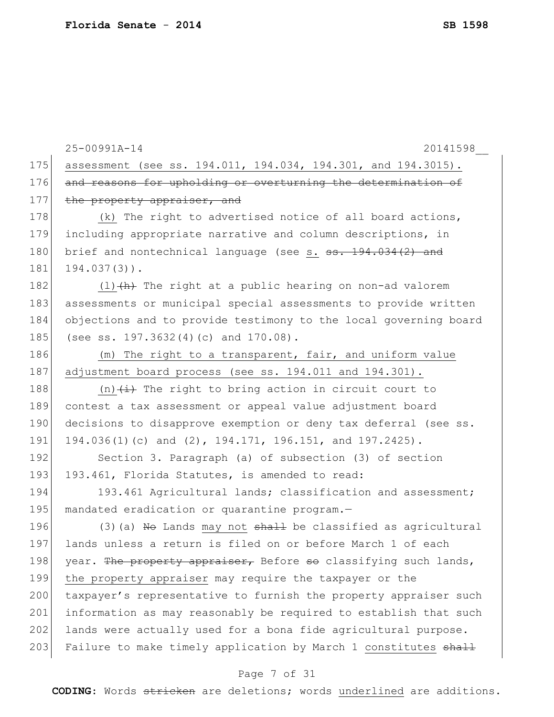|     | 20141598<br>25-00991A-14                                           |
|-----|--------------------------------------------------------------------|
| 175 | assessment (see ss. 194.011, 194.034, 194.301, and 194.3015).      |
| 176 | and reasons for upholding or overturning the determination of      |
| 177 | the property appraiser, and                                        |
| 178 | (k) The right to advertised notice of all board actions,           |
| 179 | including appropriate narrative and column descriptions, in        |
| 180 | brief and nontechnical language (see s. ss. 194.034(2) and         |
| 181 | $194.037(3)$ .                                                     |
| 182 | $(1)$ $(h)$ The right at a public hearing on non-ad valorem        |
| 183 | assessments or municipal special assessments to provide written    |
| 184 | objections and to provide testimony to the local governing board   |
| 185 | (see ss. 197.3632(4)(c) and 170.08).                               |
| 186 | (m) The right to a transparent, fair, and uniform value            |
| 187 | adjustment board process (see ss. 194.011 and 194.301).            |
| 188 | (n) $\overline{t}$ ) The right to bring action in circuit court to |
| 189 | contest a tax assessment or appeal value adjustment board          |
| 190 | decisions to disapprove exemption or deny tax deferral (see ss.    |
| 191 | 194.036(1)(c) and (2), 194.171, 196.151, and 197.2425).            |
| 192 | Section 3. Paragraph (a) of subsection (3) of section              |
| 193 | 193.461, Florida Statutes, is amended to read:                     |
| 194 | 193.461 Agricultural lands; classification and assessment;         |
| 195 | mandated eradication or quarantine program.-                       |
| 196 | $(3)$ (a) No Lands may not shall be classified as agricultural     |
| 197 | lands unless a return is filed on or before March 1 of each        |
| 198 | year. The property appraiser, Before so classifying such lands,    |
| 199 | the property appraiser may require the taxpayer or the             |
| 200 | taxpayer's representative to furnish the property appraiser such   |
| 201 | information as may reasonably be required to establish that such   |
| 202 | lands were actually used for a bona fide agricultural purpose.     |
| 203 | Failure to make timely application by March 1 constitutes shall    |
|     |                                                                    |

# Page 7 of 31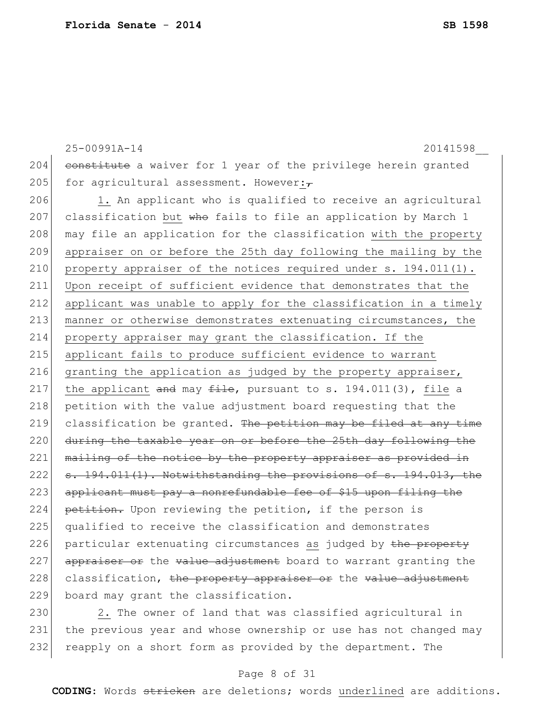```
25-00991A-14 20141598__
204 constitute a waiver for 1 year of the privilege herein granted
205 for agricultural assessment. However:\overline{t}206 1. An applicant who is qualified to receive an agricultural
207 classification but who fails to file an application by March 1
208 may file an application for the classification with the property
209 appraiser on or before the 25th day following the mailing by the 
210 property appraiser of the notices required under s. 194.011(1).
211 Upon receipt of sufficient evidence that demonstrates that the 
212 applicant was unable to apply for the classification in a timely 
213 manner or otherwise demonstrates extenuating circumstances, the
214 property appraiser may grant the classification. If the 
215 applicant fails to produce sufficient evidence to warrant 
216 granting the application as judged by the property appraiser,
217 the applicant and may file, pursuant to s. 194.011(3), file a
218 petition with the value adjustment board requesting that the
219 classification be granted. The petition may be filed at any time
220 during the taxable year on or before the 25th day following the
221 mailing of the notice by the property appraiser as provided in
222 s. 194.011(1). Notwithstanding the provisions of s. 194.013, the
```
223 applicant must pay a nonrefundable fee of \$15 upon filing the 224 petition. Upon reviewing the petition, if the person is 225 qualified to receive the classification and demonstrates 226 particular extenuating circumstances as judged by the property  $227$  appraiser or the value adjustment board to warrant granting the  $228$  classification, the property appraiser or the value adjustment 229 board may grant the classification.

230 2. The owner of land that was classified agricultural in 231 the previous year and whose ownership or use has not changed may 232 reapply on a short form as provided by the department. The

### Page 8 of 31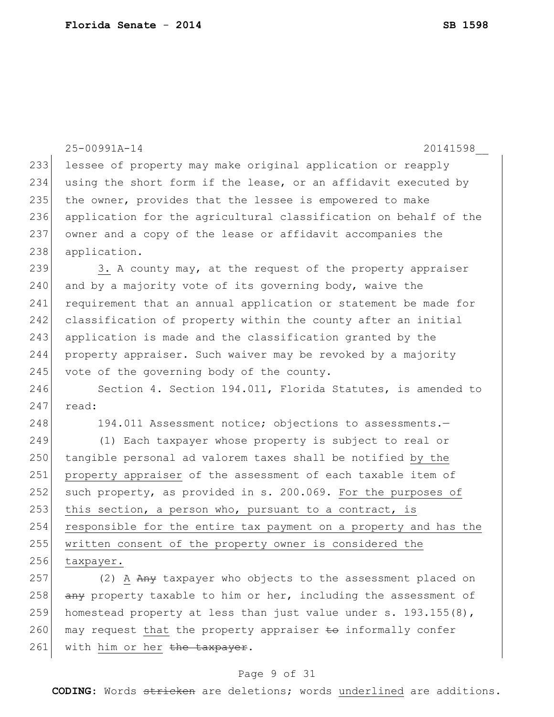|     | 25-00991A-14<br>20141598                                         |
|-----|------------------------------------------------------------------|
| 233 | lessee of property may make original application or reapply      |
| 234 | using the short form if the lease, or an affidavit executed by   |
| 235 | the owner, provides that the lessee is empowered to make         |
| 236 | application for the agricultural classification on behalf of the |
| 237 | owner and a copy of the lease or affidavit accompanies the       |
| 238 | application.                                                     |
| 239 | 3. A county may, at the request of the property appraiser        |
| 240 | and by a majority vote of its governing body, waive the          |
| 241 | requirement that an annual application or statement be made for  |
| 242 | classification of property within the county after an initial    |
| 243 | application is made and the classification granted by the        |
| 244 | property appraiser. Such waiver may be revoked by a majority     |
| 245 | vote of the governing body of the county.                        |
| 246 | Section 4. Section 194.011, Florida Statutes, is amended to      |
| 247 | read:                                                            |
| 248 | 194.011 Assessment notice; objections to assessments.-           |
| 249 | (1) Each taxpayer whose property is subject to real or           |
| 250 | tangible personal ad valorem taxes shall be notified by the      |
| 251 | property appraiser of the assessment of each taxable item of     |
| 252 | such property, as provided in s. 200.069. For the purposes of    |
| 253 | this section, a person who, pursuant to a contract, is           |
| 254 | responsible for the entire tax payment on a property and has the |
| 255 | written consent of the property owner is considered the          |
| 256 | taxpayer.                                                        |
| 257 | (2) A Any taxpayer who objects to the assessment placed on       |
| 258 | any property taxable to him or her, including the assessment of  |
| 259 | homestead property at less than just value under s. 193.155(8),  |
| 260 | may request that the property appraiser to informally confer     |
| 261 | with him or her the taxpayer.                                    |

# Page 9 of 31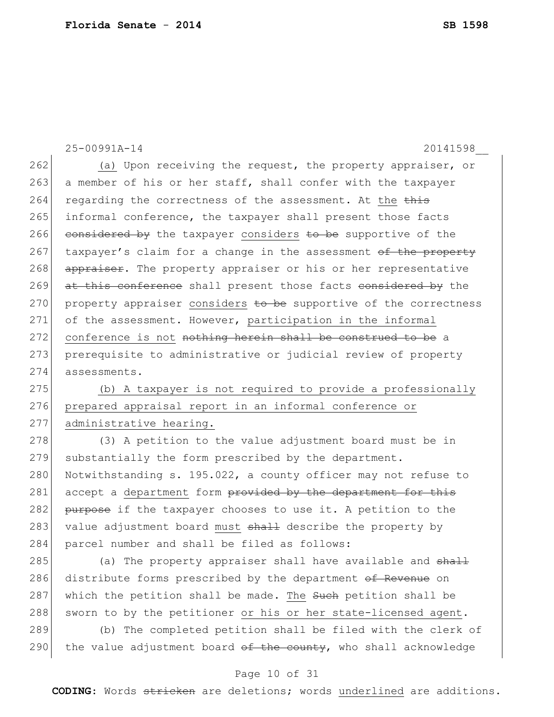25-00991A-14 20141598\_\_ 262 (a) Upon receiving the request, the property appraiser, or 263 a member of his or her staff, shall confer with the taxpayer 264 regarding the correctness of the assessment. At the this 265 informal conference, the taxpayer shall present those facts 266 considered by the taxpayer considers to be supportive of the 267 taxpayer's claim for a change in the assessment  $\Theta$  the property 268 appraiser. The property appraiser or his or her representative 269 at this conference shall present those facts considered by the 270 property appraiser considers to be supportive of the correctness 271 of the assessment. However, participation in the informal 272 conference is not nothing herein shall be construed to be a 273 prerequisite to administrative or judicial review of property 274 assessments. 275 (b) A taxpayer is not required to provide a professionally 276 prepared appraisal report in an informal conference or 277 administrative hearing. 278 (3) A petition to the value adjustment board must be in 279 substantially the form prescribed by the department. 280 Notwithstanding s. 195.022, a county officer may not refuse to 281 accept a department form provided by the department for this 282 purpose if the taxpayer chooses to use it. A petition to the

285 (a) The property appraiser shall have available and shall 286 distribute forms prescribed by the department of Revenue on 287 which the petition shall be made. The such petition shall be 288 sworn to by the petitioner or his or her state-licensed agent.

283 value adjustment board must shall describe the property by

284 parcel number and shall be filed as follows:

289 (b) The completed petition shall be filed with the clerk of 290 the value adjustment board  $\theta$  the county, who shall acknowledge

### Page 10 of 31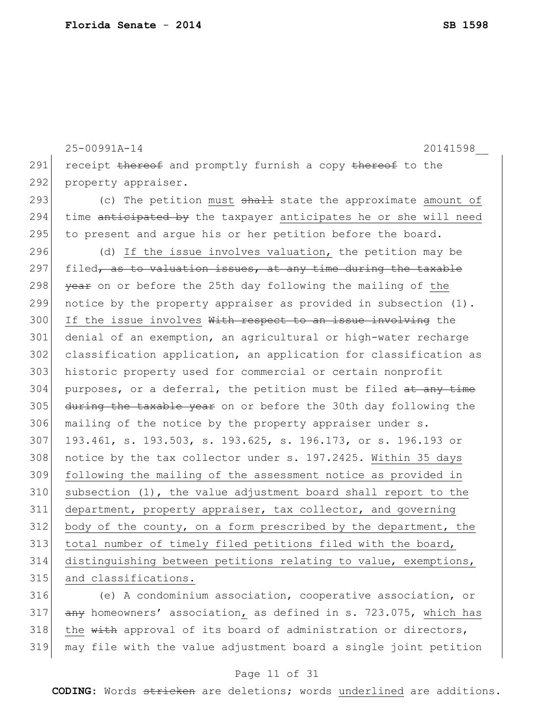25-00991A-14 20141598\_\_ 291 receipt thereof and promptly furnish a copy thereof to the 292 property appraiser.  $\vert$  (c) The petition must  $shall$  state the approximate amount of 294 time anticipated by the taxpayer anticipates he or she will need 295 to present and argue his or her petition before the board.  $\vert$  (d) If the issue involves valuation, the petition may be 297 filed, as to valuation issues, at any time during the taxable  $|$  year on or before the 25th day following the mailing of the notice by the property appraiser as provided in subsection (1). 300 If the issue involves With respect to an issue involving the denial of an exemption, an agricultural or high-water recharge classification application, an application for classification as historic property used for commercial or certain nonprofit purposes, or a deferral, the petition must be filed  $at$  any time 305 during the taxable year on or before the 30th day following the 306 mailing of the notice by the property appraiser under s. 193.461, s. 193.503, s. 193.625, s. 196.173, or s. 196.193 or notice by the tax collector under s. 197.2425. Within 35 days following the mailing of the assessment notice as provided in subsection (1), the value adjustment board shall report to the department, property appraiser, tax collector, and governing body of the county, on a form prescribed by the department, the total number of timely filed petitions filed with the board, distinguishing between petitions relating to value, exemptions, 315 and classifications. (e) A condominium association, cooperative association, or

317  $\overline{any}$  homeowners' association, as defined in s. 723.075, which has  $318$  the  $\overline{\text{with}}$  approval of its board of administration or directors, 319 may file with the value adjustment board a single joint petition

### Page 11 of 31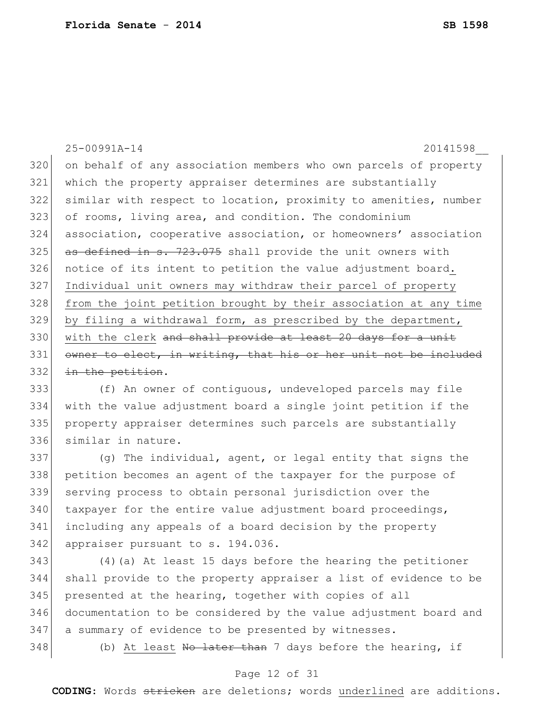25-00991A-14 20141598\_\_ 320 on behalf of any association members who own parcels of property which the property appraiser determines are substantially similar with respect to location, proximity to amenities, number of rooms, living area, and condition. The condominium association, cooperative association, or homeowners' association as defined in s. 723.075 shall provide the unit owners with notice of its intent to petition the value adjustment board. Individual unit owners may withdraw their parcel of property 328 from the joint petition brought by their association at any time by filing a withdrawal form, as prescribed by the department, 330 with the clerk and shall provide at least 20 days for a unit owner to elect, in writing, that his or her unit not be included 332 in the petition. (f) An owner of contiguous, undeveloped parcels may file with the value adjustment board a single joint petition if the property appraiser determines such parcels are substantially similar in nature. 337 (g) The individual, agent, or legal entity that signs the petition becomes an agent of the taxpayer for the purpose of serving process to obtain personal jurisdiction over the taxpayer for the entire value adjustment board proceedings, including any appeals of a board decision by the property 342 appraiser pursuant to s. 194.036. (4)(a) At least 15 days before the hearing the petitioner shall provide to the property appraiser a list of evidence to be presented at the hearing, together with copies of all documentation to be considered by the value adjustment board and 347| a summary of evidence to be presented by witnesses. 348 (b) At least No later than 7 days before the hearing, if

### Page 12 of 31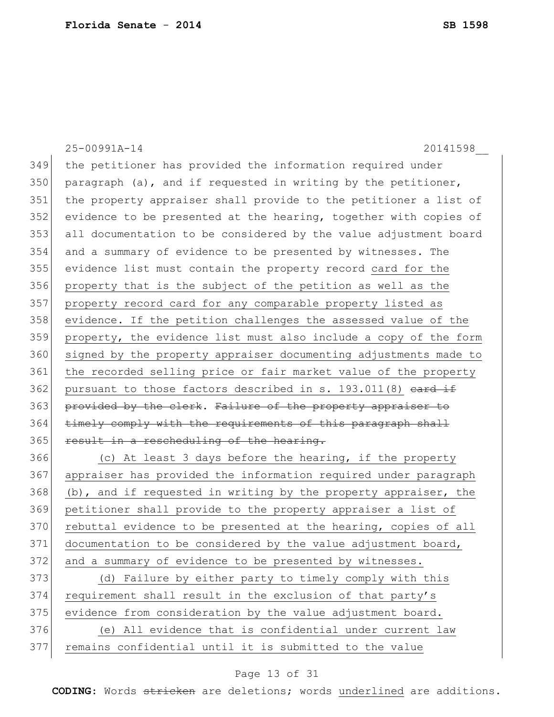|     | 25-00991A-14<br>20141598                                         |
|-----|------------------------------------------------------------------|
| 349 | the petitioner has provided the information required under       |
| 350 | paragraph (a), and if requested in writing by the petitioner,    |
| 351 | the property appraiser shall provide to the petitioner a list of |
| 352 | evidence to be presented at the hearing, together with copies of |
| 353 | all documentation to be considered by the value adjustment board |
| 354 | and a summary of evidence to be presented by witnesses. The      |
| 355 | evidence list must contain the property record card for the      |
| 356 | property that is the subject of the petition as well as the      |
| 357 | property record card for any comparable property listed as       |
| 358 | evidence. If the petition challenges the assessed value of the   |
| 359 | property, the evidence list must also include a copy of the form |
| 360 | signed by the property appraiser documenting adjustments made to |
| 361 | the recorded selling price or fair market value of the property  |
| 362 | pursuant to those factors described in s. 193.011(8) eard if     |
| 363 | provided by the clerk. Failure of the property appraiser to      |
| 364 | timely comply with the requirements of this paragraph shall      |
| 365 | result in a rescheduling of the hearing.                         |
| 366 | (c) At least 3 days before the hearing, if the property          |
| 367 | appraiser has provided the information required under paragraph  |
| 368 | (b), and if requested in writing by the property appraiser, the  |
| 369 | petitioner shall provide to the property appraiser a list of     |
| 370 | rebuttal evidence to be presented at the hearing, copies of all  |
| 371 | documentation to be considered by the value adjustment board,    |
| 372 | and a summary of evidence to be presented by witnesses.          |
| 373 | (d) Failure by either party to timely comply with this           |
| 374 | requirement shall result in the exclusion of that party's        |
| 375 | evidence from consideration by the value adjustment board.       |
| 376 | (e) All evidence that is confidential under current law          |
| 377 | remains confidential until it is submitted to the value          |

# Page 13 of 31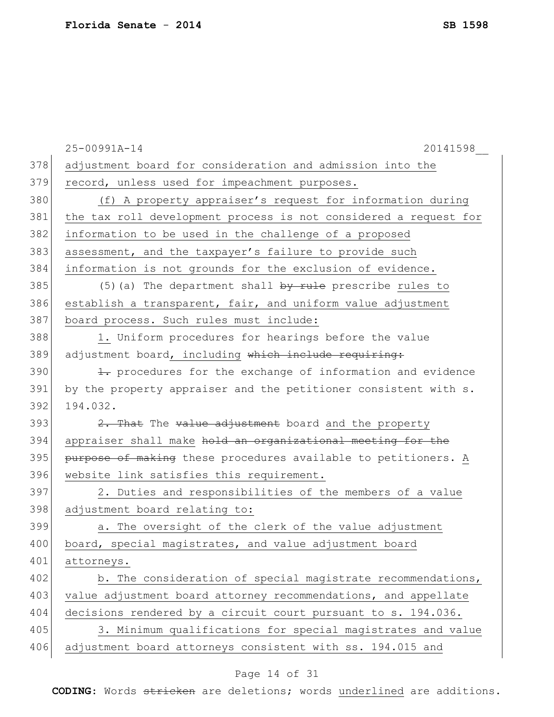|     | 25-00991A-14<br>20141598                                         |
|-----|------------------------------------------------------------------|
| 378 | adjustment board for consideration and admission into the        |
| 379 | record, unless used for impeachment purposes.                    |
| 380 | (f) A property appraiser's request for information during        |
| 381 | the tax roll development process is not considered a request for |
| 382 | information to be used in the challenge of a proposed            |
| 383 | assessment, and the taxpayer's failure to provide such           |
| 384 | information is not grounds for the exclusion of evidence.        |
| 385 | (5) (a) The department shall $by$ rule prescribe rules to        |
| 386 | establish a transparent, fair, and uniform value adjustment      |
| 387 | board process. Such rules must include:                          |
| 388 | 1. Uniform procedures for hearings before the value              |
| 389 | adjustment board, including which include requiring:             |
| 390 | 1. procedures for the exchange of information and evidence       |
| 391 | by the property appraiser and the petitioner consistent with s.  |
| 392 | 194.032.                                                         |
| 393 | 2. That The value adjustment board and the property              |
| 394 | appraiser shall make hold an organizational meeting for the      |
| 395 | purpose of making these procedures available to petitioners. A   |
| 396 | website link satisfies this requirement.                         |
| 397 | 2. Duties and responsibilities of the members of a value         |
| 398 | adjustment board relating to:                                    |
| 399 | a. The oversight of the clerk of the value adjustment            |
| 400 | board, special magistrates, and value adjustment board           |
| 401 | attorneys.                                                       |
| 402 | b. The consideration of special magistrate recommendations,      |
| 403 | value adjustment board attorney recommendations, and appellate   |
| 404 | decisions rendered by a circuit court pursuant to s. 194.036.    |
| 405 | 3. Minimum qualifications for special magistrates and value      |
| 406 | adjustment board attorneys consistent with ss. 194.015 and       |

# Page 14 of 31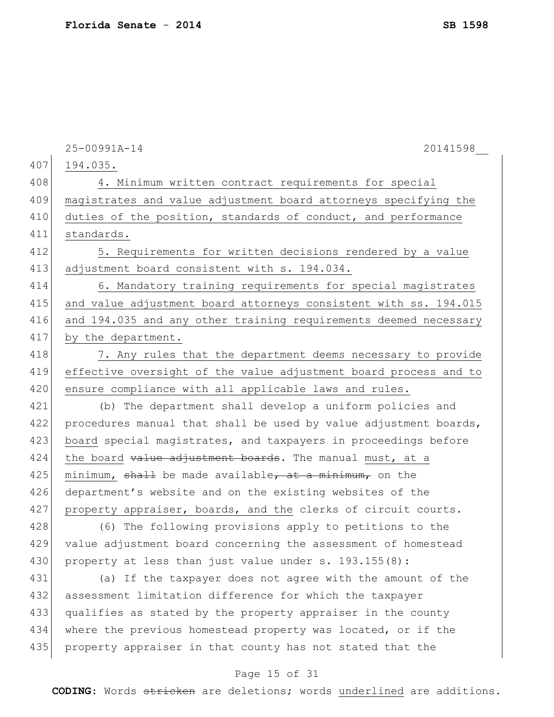|     | 20141598<br>25-00991A-14                                         |
|-----|------------------------------------------------------------------|
| 407 | 194.035.                                                         |
| 408 | 4. Minimum written contract requirements for special             |
| 409 | magistrates and value adjustment board attorneys specifying the  |
| 410 | duties of the position, standards of conduct, and performance    |
| 411 | standards.                                                       |
| 412 | 5. Requirements for written decisions rendered by a value        |
| 413 | adjustment board consistent with s. 194.034.                     |
| 414 | 6. Mandatory training requirements for special magistrates       |
| 415 | and value adjustment board attorneys consistent with ss. 194.015 |
| 416 | and 194.035 and any other training requirements deemed necessary |
| 417 | by the department.                                               |
| 418 | 7. Any rules that the department deems necessary to provide      |
| 419 | effective oversight of the value adjustment board process and to |
| 420 | ensure compliance with all applicable laws and rules.            |
| 421 | (b) The department shall develop a uniform policies and          |
| 422 | procedures manual that shall be used by value adjustment boards, |
| 423 | board special magistrates, and taxpayers in proceedings before   |
| 424 | the board value adjustment boards. The manual must, at a         |
| 425 | minimum, shall be made available, at a minimum, on the           |
| 426 | department's website and on the existing websites of the         |
| 427 | property appraiser, boards, and the clerks of circuit courts.    |
| 428 | (6) The following provisions apply to petitions to the           |
| 429 | value adjustment board concerning the assessment of homestead    |
| 430 | property at less than just value under s. 193.155(8):            |
| 431 | (a) If the taxpayer does not agree with the amount of the        |
| 432 | assessment limitation difference for which the taxpayer          |
| 433 | qualifies as stated by the property appraiser in the county      |
| 434 | where the previous homestead property was located, or if the     |
| 435 | property appraiser in that county has not stated that the        |
|     | Page 15 of 31                                                    |
|     |                                                                  |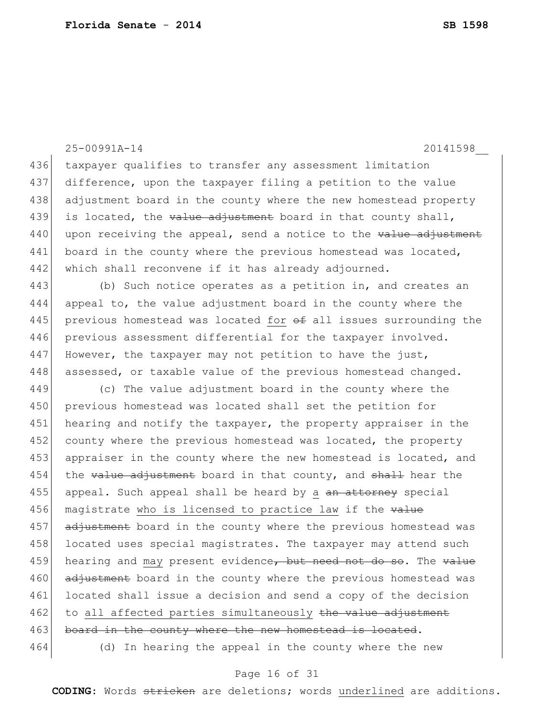25-00991A-14 20141598\_\_ 436 taxpayer qualifies to transfer any assessment limitation 437 difference, upon the taxpayer filing a petition to the value 438 adjustment board in the county where the new homestead property 439 is located, the  $value$  adjustment board in that county shall,  $440$  upon receiving the appeal, send a notice to the value adjustment 441 board in the county where the previous homestead was located, 442 which shall reconvene if it has already adjourned. 443 (b) Such notice operates as a petition in, and creates an 444 appeal to, the value adjustment board in the county where the 445 previous homestead was located for  $\theta$  all issues surrounding the 446 previous assessment differential for the taxpayer involved. 447 However, the taxpayer may not petition to have the just, 448 assessed, or taxable value of the previous homestead changed. 449 (c) The value adjustment board in the county where the 450 previous homestead was located shall set the petition for 451 hearing and notify the taxpayer, the property appraiser in the 452 county where the previous homestead was located, the property 453 appraiser in the county where the new homestead is located, and  $454$  the value adjustment board in that county, and shall hear the 455 appeal. Such appeal shall be heard by a an attorney special 456 magistrate who is licensed to practice law if the value 457 adjustment board in the county where the previous homestead was 458 located uses special magistrates. The taxpayer may attend such 459 hearing and may present evidence, but need not do so. The value 460 adjustment board in the county where the previous homestead was 461 located shall issue a decision and send a copy of the decision 462 to all affected parties simultaneously the value adjustment 463 board in the county where the new homestead is located. 464 (d) In hearing the appeal in the county where the new

#### Page 16 of 31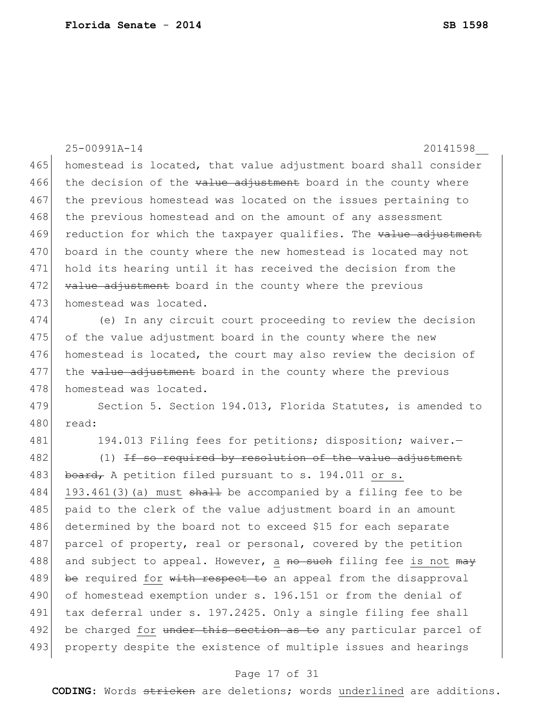|     | 25-00991A-14<br>20141598                                              |
|-----|-----------------------------------------------------------------------|
| 465 | homestead is located, that value adjustment board shall consider      |
| 466 | the decision of the value adjustment board in the county where        |
| 467 | the previous homestead was located on the issues pertaining to        |
| 468 | the previous homestead and on the amount of any assessment            |
| 469 | reduction for which the taxpayer qualifies. The value adjustment      |
| 470 | board in the county where the new homestead is located may not        |
| 471 | hold its hearing until it has received the decision from the          |
| 472 | value adjustment board in the county where the previous               |
| 473 | homestead was located.                                                |
| 474 | (e) In any circuit court proceeding to review the decision            |
| 475 | of the value adjustment board in the county where the new             |
| 476 | homestead is located, the court may also review the decision of       |
| 477 | the value adjustment board in the county where the previous           |
| 478 | homestead was located.                                                |
| 479 | Section 5. Section 194.013, Florida Statutes, is amended to           |
| 480 | read:                                                                 |
| 481 | 194.013 Filing fees for petitions; disposition; waiver.-              |
| 482 | $(1)$ <del>If so required by resolution of the value adjustment</del> |
| 483 | board, A petition filed pursuant to s. 194.011 or s.                  |
| 484 | 193.461(3) (a) must $shath$ be accompanied by a filing fee to be      |
| 485 | paid to the clerk of the value adjustment board in an amount          |
| 486 | determined by the board not to exceed \$15 for each separate          |
| 487 | parcel of property, real or personal, covered by the petition         |
| 488 | and subject to appeal. However, a no such filing fee is not may       |
| 489 | be required for with respect to an appeal from the disapproval        |
| 490 | of homestead exemption under s. 196.151 or from the denial of         |
| 491 | tax deferral under s. 197.2425. Only a single filing fee shall        |
| 492 | be charged for under this section as to any particular parcel of      |
| 493 | property despite the existence of multiple issues and hearings        |
|     | Page 17 of 31                                                         |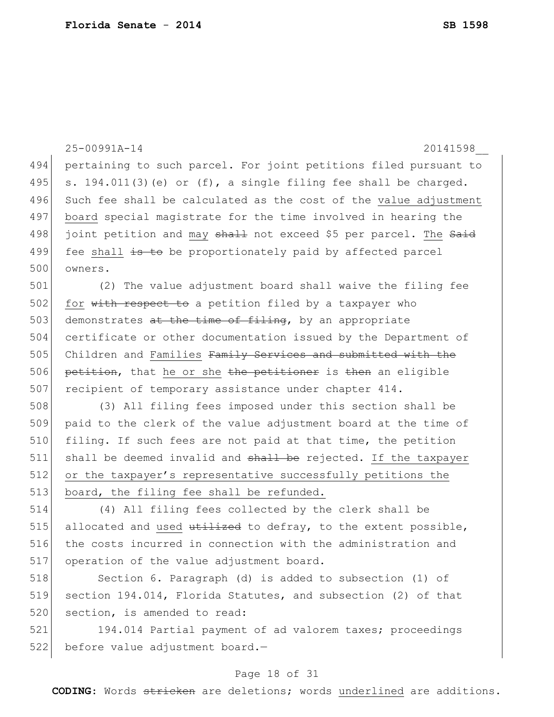|     | 25-00991A-14<br>20141598                                          |
|-----|-------------------------------------------------------------------|
| 494 | pertaining to such parcel. For joint petitions filed pursuant to  |
| 495 | s. $194.011(3)$ (e) or (f), a single filing fee shall be charged. |
| 496 | Such fee shall be calculated as the cost of the value adjustment  |
| 497 | board special magistrate for the time involved in hearing the     |
| 498 | joint petition and may shall not exceed \$5 per parcel. The Said  |
| 499 | fee shall is to be proportionately paid by affected parcel        |
| 500 | owners.                                                           |
| 501 | (2) The value adjustment board shall waive the filing fee         |
| 502 | for with respect to a petition filed by a taxpayer who            |
| 503 | demonstrates at the time of filing, by an appropriate             |
| 504 | certificate or other documentation issued by the Department of    |
| 505 | Children and Families Family Services and submitted with the      |
| 506 | petition, that he or she the petitioner is then an eligible       |
| 507 | recipient of temporary assistance under chapter 414.              |
| 508 | (3) All filing fees imposed under this section shall be           |
| 509 | paid to the clerk of the value adjustment board at the time of    |
| 510 | filing. If such fees are not paid at that time, the petition      |
| 511 | shall be deemed invalid and shall be rejected. If the taxpayer    |
| 512 | or the taxpayer's representative successfully petitions the       |
| 513 | board, the filing fee shall be refunded.                          |
| 514 | (4) All filing fees collected by the clerk shall be               |
| 515 | allocated and used utilized to defray, to the extent possible,    |
| 516 | the costs incurred in connection with the administration and      |
| 517 | operation of the value adjustment board.                          |
| 518 | Section 6. Paragraph (d) is added to subsection (1) of            |
| 519 | section 194.014, Florida Statutes, and subsection (2) of that     |
| 520 | section, is amended to read:                                      |
| 521 | 194.014 Partial payment of ad valorem taxes; proceedings          |

before value adjustment board.—

### Page 18 of 31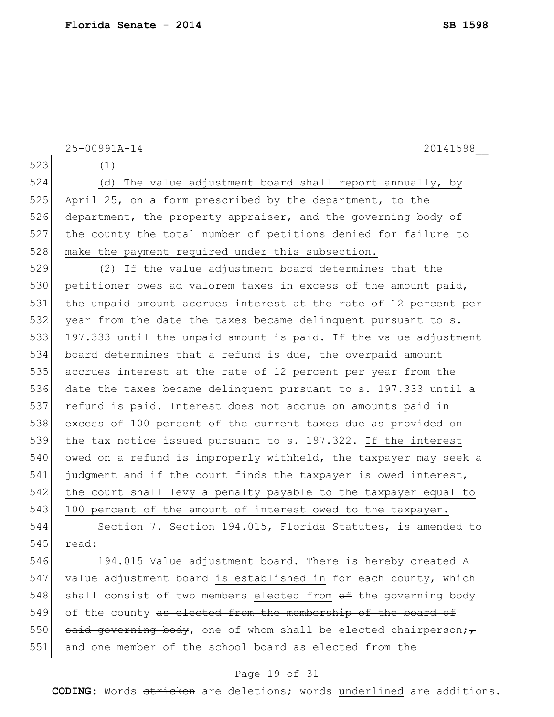|     | 25-00991A-14<br>20141598                                                 |  |  |  |  |  |  |
|-----|--------------------------------------------------------------------------|--|--|--|--|--|--|
| 523 | (1)                                                                      |  |  |  |  |  |  |
| 524 | (d) The value adjustment board shall report annually, by                 |  |  |  |  |  |  |
| 525 | April 25, on a form prescribed by the department, to the                 |  |  |  |  |  |  |
| 526 | department, the property appraiser, and the governing body of            |  |  |  |  |  |  |
| 527 | the county the total number of petitions denied for failure to           |  |  |  |  |  |  |
| 528 | make the payment required under this subsection.                         |  |  |  |  |  |  |
| 529 | (2) If the value adjustment board determines that the                    |  |  |  |  |  |  |
| 530 | petitioner owes ad valorem taxes in excess of the amount paid,           |  |  |  |  |  |  |
| 531 | the unpaid amount accrues interest at the rate of 12 percent per         |  |  |  |  |  |  |
| 532 | year from the date the taxes became delinquent pursuant to s.            |  |  |  |  |  |  |
| 533 | 197.333 until the unpaid amount is paid. If the value adjustment         |  |  |  |  |  |  |
| 534 | board determines that a refund is due, the overpaid amount               |  |  |  |  |  |  |
| 535 | accrues interest at the rate of 12 percent per year from the             |  |  |  |  |  |  |
| 536 | date the taxes became delinquent pursuant to s. 197.333 until a          |  |  |  |  |  |  |
| 537 | refund is paid. Interest does not accrue on amounts paid in              |  |  |  |  |  |  |
| 538 | excess of 100 percent of the current taxes due as provided on            |  |  |  |  |  |  |
| 539 | the tax notice issued pursuant to s. 197.322. If the interest            |  |  |  |  |  |  |
| 540 | owed on a refund is improperly withheld, the taxpayer may seek a         |  |  |  |  |  |  |
| 541 | judgment and if the court finds the taxpayer is owed interest,           |  |  |  |  |  |  |
| 542 | the court shall levy a penalty payable to the taxpayer equal to          |  |  |  |  |  |  |
| 543 | 100 percent of the amount of interest owed to the taxpayer.              |  |  |  |  |  |  |
| 544 | Section 7. Section 194.015, Florida Statutes, is amended to              |  |  |  |  |  |  |
| 545 | read:                                                                    |  |  |  |  |  |  |
| 546 | 194.015 Value adjustment board. There is hereby created A                |  |  |  |  |  |  |
| 547 | value adjustment board is established in for each county, which          |  |  |  |  |  |  |
| 548 | shall consist of two members elected from of the governing body          |  |  |  |  |  |  |
| 549 | of the county as elected from the membership of the board of             |  |  |  |  |  |  |
| 550 | said governing body, one of whom shall be elected chairperson; $_{\tau}$ |  |  |  |  |  |  |
| 551 | and one member of the school board as elected from the                   |  |  |  |  |  |  |
|     | Page 19 of 31                                                            |  |  |  |  |  |  |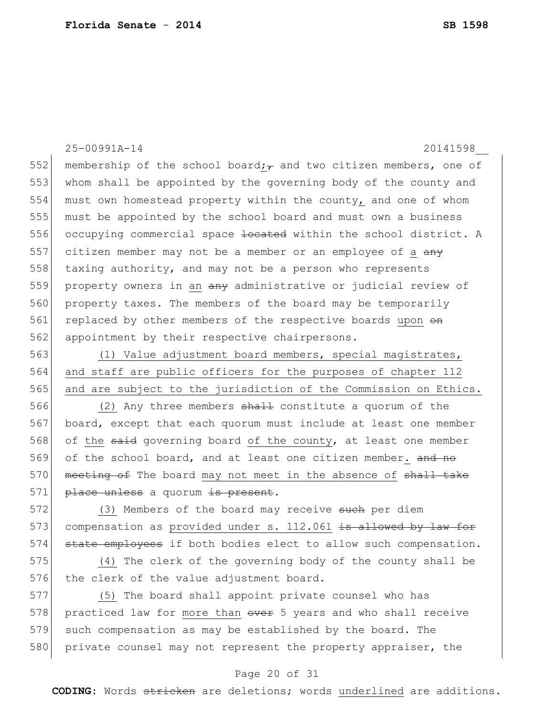25-00991A-14 20141598\_\_

552 membership of the school board; and two citizen members, one of 553 whom shall be appointed by the governing body of the county and 554 must own homestead property within the county, and one of whom 555 must be appointed by the school board and must own a business 556 occupying commercial space <del>located</del> within the school district. A 557 citizen member may not be a member or an employee of a  $\frac{any}{x}$ 558 taxing authority, and may not be a person who represents 559 property owners in an  $\frac{a}{b}$  administrative or judicial review of 560 property taxes. The members of the board may be temporarily 561 replaced by other members of the respective boards upon  $\Theta$ 562 appointment by their respective chairpersons.

563 (1) Value adjustment board members, special magistrates, 564 and staff are public officers for the purposes of chapter 112 565 and are subject to the jurisdiction of the Commission on Ethics.

566 (2) Any three members shall constitute a quorum of the 567 board, except that each quorum must include at least one member 568 of the said governing board of the county, at least one member 569 of the school board, and at least one citizen member. and no 570 meeting of The board may not meet in the absence of shall take 571 place unless a quorum is present.

572 (3) Members of the board may receive such per diem 573 compensation as provided under s. 112.061 is allowed by law for 574 state employees if both bodies elect to allow such compensation.

575 (4) The clerk of the governing body of the county shall be 576 the clerk of the value adjustment board.

577 (5) The board shall appoint private counsel who has 578 practiced law for more than over 5 years and who shall receive 579 such compensation as may be established by the board. The 580 private counsel may not represent the property appraiser, the

### Page 20 of 31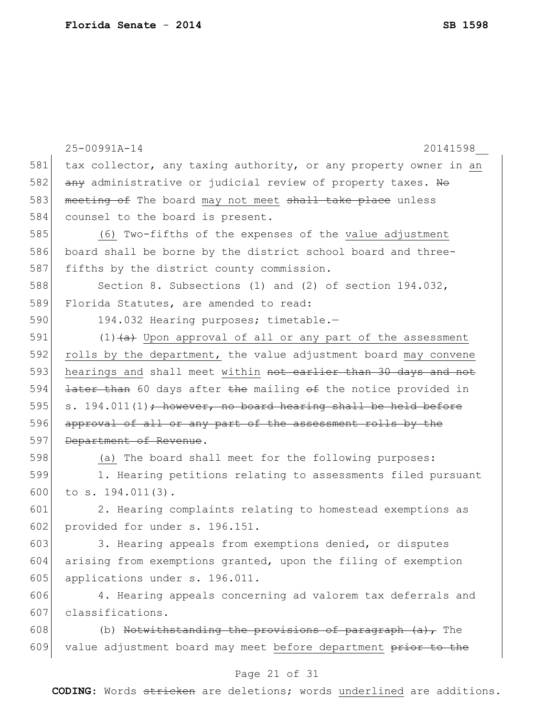|     | 25-00991A-14<br>20141598                                         |  |  |  |  |  |
|-----|------------------------------------------------------------------|--|--|--|--|--|
| 581 | tax collector, any taxing authority, or any property owner in an |  |  |  |  |  |
| 582 | any administrative or judicial review of property taxes. Ho      |  |  |  |  |  |
| 583 | meeting of The board may not meet shall take place unless        |  |  |  |  |  |
| 584 | counsel to the board is present.                                 |  |  |  |  |  |
| 585 | (6) Two-fifths of the expenses of the value adjustment           |  |  |  |  |  |
| 586 | board shall be borne by the district school board and three-     |  |  |  |  |  |
| 587 | fifths by the district county commission.                        |  |  |  |  |  |
| 588 | Section 8. Subsections (1) and (2) of section $194.032$ ,        |  |  |  |  |  |
| 589 | Florida Statutes, are amended to read:                           |  |  |  |  |  |
| 590 | 194.032 Hearing purposes; timetable.-                            |  |  |  |  |  |
| 591 | $(1)$ $(4)$ Upon approval of all or any part of the assessment   |  |  |  |  |  |
| 592 | rolls by the department, the value adjustment board may convene  |  |  |  |  |  |
| 593 | hearings and shall meet within not earlier than 30 days and not  |  |  |  |  |  |
| 594 | later than 60 days after the mailing of the notice provided in   |  |  |  |  |  |
| 595 | s. $194.011(1)$ ; however, no board hearing shall be held before |  |  |  |  |  |
| 596 | approval of all or any part of the assessment rolls by the       |  |  |  |  |  |
| 597 | Department of Revenue.                                           |  |  |  |  |  |
| 598 | (a) The board shall meet for the following purposes:             |  |  |  |  |  |
| 599 | 1. Hearing petitions relating to assessments filed pursuant      |  |  |  |  |  |
| 600 | to $s. 194.011(3)$ .                                             |  |  |  |  |  |
| 601 | 2. Hearing complaints relating to homestead exemptions as        |  |  |  |  |  |
| 602 | provided for under s. 196.151.                                   |  |  |  |  |  |
| 603 | 3. Hearing appeals from exemptions denied, or disputes           |  |  |  |  |  |
| 604 | arising from exemptions granted, upon the filing of exemption    |  |  |  |  |  |
| 605 | applications under s. 196.011.                                   |  |  |  |  |  |
| 606 | 4. Hearing appeals concerning ad valorem tax deferrals and       |  |  |  |  |  |
| 607 | classifications.                                                 |  |  |  |  |  |
| 608 | (b) Notwithstanding the provisions of paragraph $(a)$ , The      |  |  |  |  |  |
| 609 | value adjustment board may meet before department prior to the   |  |  |  |  |  |

# Page 21 of 31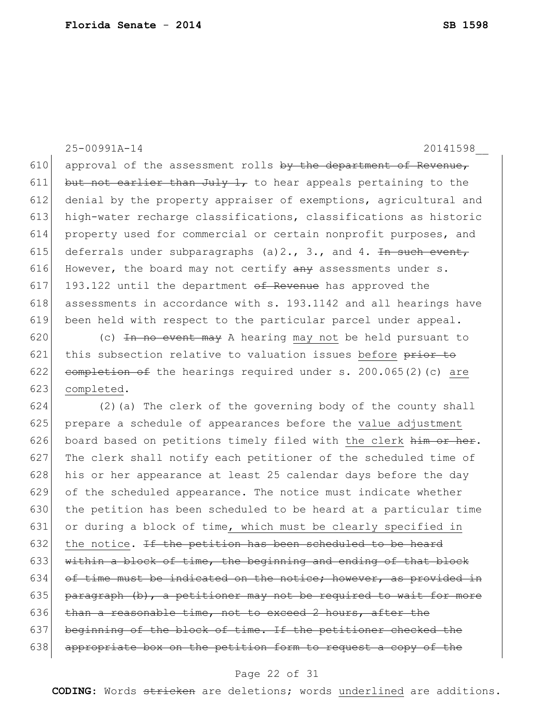25-00991A-14 20141598\_\_ 610 approval of the assessment rolls by the department of Revenue, 611 but not earlier than July 1, to hear appeals pertaining to the 612 denial by the property appraiser of exemptions, agricultural and 613 high-water recharge classifications, classifications as historic 614 property used for commercial or certain nonprofit purposes, and 615 deferrals under subparagraphs (a) 2., 3., and 4. In such event, 616 However, the board may not certify  $\frac{1}{2}$  assessments under s. 617 193.122 until the department  $\sigma$ f Revenue has approved the 618 assessments in accordance with s. 193.1142 and all hearings have 619 been held with respect to the particular parcel under appeal.

620  $\vert$  (c) <del>In no event may</del> A hearing may not be held pursuant to 621 this subsection relative to valuation issues before prior to 622 completion of the hearings required under s.  $200.065(2)(c)$  are 623 completed.

624  $(2)$  (a) The clerk of the governing body of the county shall 625 prepare a schedule of appearances before the value adjustment 626 board based on petitions timely filed with the clerk  $\frac{h}{h}$  or  $h$ 627 The clerk shall notify each petitioner of the scheduled time of 628 his or her appearance at least 25 calendar days before the day 629 of the scheduled appearance. The notice must indicate whether 630 the petition has been scheduled to be heard at a particular time 631 or during a block of time, which must be clearly specified in 632 the notice. If the petition has been scheduled to be heard 633 within a block of time, the beginning and ending of that block 634 of time must be indicated on the notice; however, as provided in 635 paragraph  $(b)$ , a petitioner may not be required to wait for more 636  $\frac{1}{2}$  than a reasonable time, not to exceed 2 hours, after the 637 beginning of the block of time. If the petitioner checked the 638 appropriate box on the petition form to request a copy of the

#### Page 22 of 31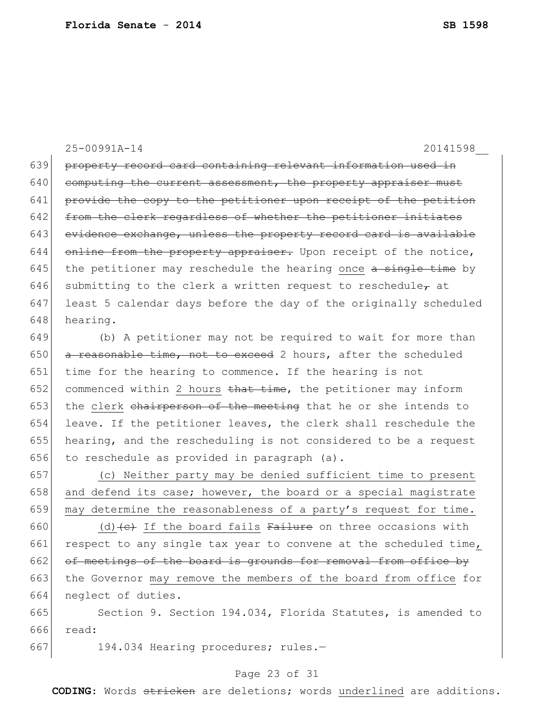25-00991A-14 20141598\_\_

639 property record card containing relevant information used in  $640$  computing the current assessment, the property appraiser must 641 provide the copy to the petitioner upon receipt of the petition 642 from the clerk regardless of whether the petitioner initiates 643 evidence exchange, unless the property record card is available  $644$  online from the property appraiser. Upon receipt of the notice, 645 the petitioner may reschedule the hearing once  $a$  single time by 646 submitting to the clerk a written request to reschedule $_{\tau}$  at 647 least 5 calendar days before the day of the originally scheduled 648 hearing.

649 (b) A petitioner may not be required to wait for more than 650  $\sigma$  a reasonable time, not to exceed 2 hours, after the scheduled 651 time for the hearing to commence. If the hearing is not 652 commenced within 2 hours  $t$ hat time, the petitioner may inform 653 the clerk chairperson of the meeting that he or she intends to 654 leave. If the petitioner leaves, the clerk shall reschedule the 655 hearing, and the rescheduling is not considered to be a request 656 to reschedule as provided in paragraph  $(a)$ .

657 (c) Neither party may be denied sufficient time to present 658 and defend its case; however, the board or a special magistrate 659 may determine the reasonableness of a party's request for time.

660 (d)  $\left(\text{c}\right)$  If the board fails Failure on three occasions with 661 respect to any single tax year to convene at the scheduled time, 662 of meetings of the board is grounds for removal from office by 663 the Governor may remove the members of the board from office for 664 neglect of duties.

665 Section 9. Section 194.034, Florida Statutes, is amended to 666 read:

667 194.034 Hearing procedures; rules.-

### Page 23 of 31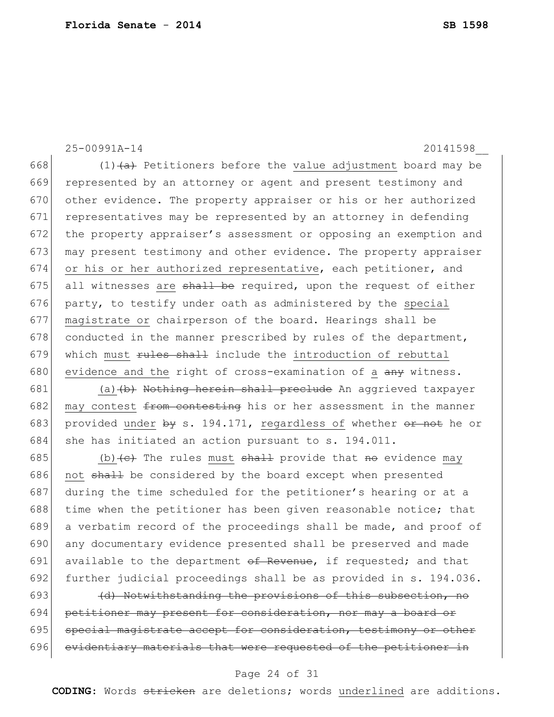25-00991A-14 20141598\_\_ 668  $(1)$   $\leftrightarrow$  Petitioners before the value adjustment board may be 669 represented by an attorney or agent and present testimony and 670 other evidence. The property appraiser or his or her authorized 671 representatives may be represented by an attorney in defending 672 the property appraiser's assessment or opposing an exemption and 673 may present testimony and other evidence. The property appraiser 674 or his or her authorized representative, each petitioner, and 675 all witnesses are  $shall$  be required, upon the request of either 676 party, to testify under oath as administered by the special 677 magistrate or chairperson of the board. Hearings shall be 678 conducted in the manner prescribed by rules of the department, 679 which must  $\frac{1}{100}$  which must  $\frac{1}{100}$  which must  $\frac{1}{100}$  include the introduction of rebuttal 680 evidence and the right of cross-examination of a  $\frac{a}{a}$  witness.

681 (a)  $(b)$  Nothing herein shall preclude An aggrieved taxpayer 682 may contest  $f$  from contesting his or her assessment in the manner 683 provided under  $by s. 194.171$ , regardless of whether  $or$  not he or 684 she has initiated an action pursuant to s. 194.011.

685 (b)  $\left( e \right)$  The rules must shall provide that no evidence may 686 not  $shall$  be considered by the board except when presented 687 during the time scheduled for the petitioner's hearing or at a 688 time when the petitioner has been given reasonable notice; that 689 a verbatim record of the proceedings shall be made, and proof of 690 any documentary evidence presented shall be preserved and made 691 available to the department  $\theta$  Revenue, if requested; and that 692 further judicial proceedings shall be as provided in s. 194.036.

693  $\left( d \right)$  Notwithstanding the provisions of this subsection, no 694 petitioner may present for consideration, nor may a board or 695 special magistrate accept for consideration, testimony or other 696 evidentiary materials that were requested of the petitioner in

### Page 24 of 31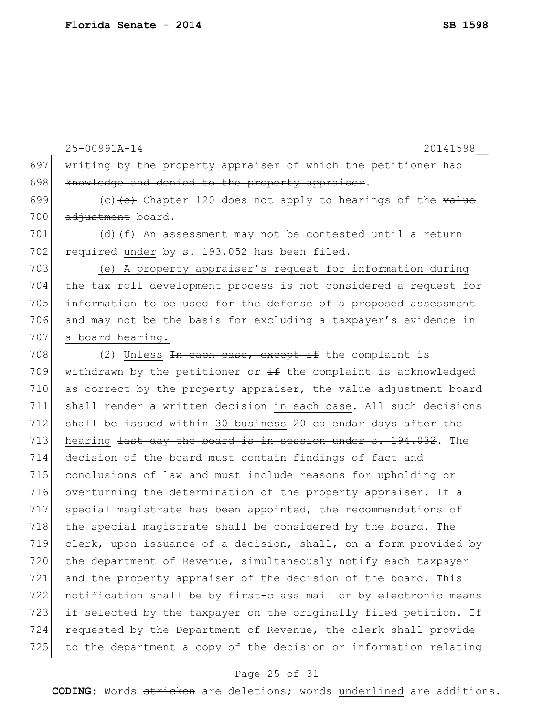25-00991A-14 20141598\_\_ 697 writing by the property appraiser of which the petitioner had 698 knowledge and denied to the property appraiser. 699  $(c)$  (c) (e) Chapter 120 does not apply to hearings of the value 700 adjustment board. 701 (d)  $(f+$  An assessment may not be contested until a return 702 required under  $\frac{1}{2}$  s. 193.052 has been filed. 703 (e) A property appraiser's request for information during 704 the tax roll development process is not considered a request for 705 information to be used for the defense of a proposed assessment 706 and may not be the basis for excluding a taxpayer's evidence in 707 a board hearing. 708 (2) Unless <del>In each case, except if</del> the complaint is 709 withdrawn by the petitioner or  $\pm$  the complaint is acknowledged 710 as correct by the property appraiser, the value adjustment board 711 shall render a written decision in each case. All such decisions 712 shall be issued within 30 business 20 calendar days after the 713 hearing  $\frac{1}{1}$  hearing  $\frac{1}{1}$  as the board is in session under s. 194.032. The 714 decision of the board must contain findings of fact and 715 conclusions of law and must include reasons for upholding or 716 overturning the determination of the property appraiser. If a 717 special magistrate has been appointed, the recommendations of 718 the special magistrate shall be considered by the board. The 719 clerk, upon issuance of a decision, shall, on a form provided by 720 the department of Revenue, simultaneously notify each taxpayer 721 and the property appraiser of the decision of the board. This 722 notification shall be by first-class mail or by electronic means 723 if selected by the taxpayer on the originally filed petition. If 724 requested by the Department of Revenue, the clerk shall provide 725 to the department a copy of the decision or information relating

### Page 25 of 31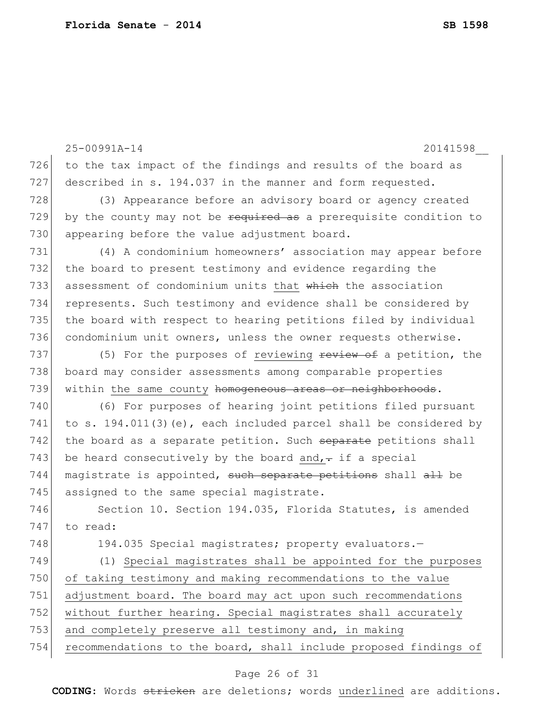|     | 25-00991A-14<br>20141598                                          |  |  |  |  |  |
|-----|-------------------------------------------------------------------|--|--|--|--|--|
| 726 | to the tax impact of the findings and results of the board as     |  |  |  |  |  |
| 727 | described in s. 194.037 in the manner and form requested.         |  |  |  |  |  |
| 728 | (3) Appearance before an advisory board or agency created         |  |  |  |  |  |
| 729 | by the county may not be required as a prerequisite condition to  |  |  |  |  |  |
| 730 | appearing before the value adjustment board.                      |  |  |  |  |  |
| 731 | (4) A condominium homeowners' association may appear before       |  |  |  |  |  |
| 732 | the board to present testimony and evidence regarding the         |  |  |  |  |  |
| 733 | assessment of condominium units that which the association        |  |  |  |  |  |
| 734 | represents. Such testimony and evidence shall be considered by    |  |  |  |  |  |
| 735 | the board with respect to hearing petitions filed by individual   |  |  |  |  |  |
| 736 | condominium unit owners, unless the owner requests otherwise.     |  |  |  |  |  |
| 737 | (5) For the purposes of reviewing review of a petition, the       |  |  |  |  |  |
| 738 | board may consider assessments among comparable properties        |  |  |  |  |  |
| 739 | within the same county homogeneous areas or neighborhoods.        |  |  |  |  |  |
| 740 | (6) For purposes of hearing joint petitions filed pursuant        |  |  |  |  |  |
| 741 | to s. 194.011(3) (e), each included parcel shall be considered by |  |  |  |  |  |
| 742 | the board as a separate petition. Such separate petitions shall   |  |  |  |  |  |
| 743 | be heard consecutively by the board and, $\div$ if a special      |  |  |  |  |  |
| 744 | magistrate is appointed, such separate petitions shall all be     |  |  |  |  |  |
| 745 | assigned to the same special magistrate.                          |  |  |  |  |  |
| 746 | Section 10. Section 194.035, Florida Statutes, is amended         |  |  |  |  |  |
| 747 | to read:                                                          |  |  |  |  |  |
| 748 | 194.035 Special magistrates; property evaluators.-                |  |  |  |  |  |
| 749 | (1) Special magistrates shall be appointed for the purposes       |  |  |  |  |  |
| 750 | of taking testimony and making recommendations to the value       |  |  |  |  |  |
| 751 | adjustment board. The board may act upon such recommendations     |  |  |  |  |  |
| 752 | without further hearing. Special magistrates shall accurately     |  |  |  |  |  |
| 753 | and completely preserve all testimony and, in making              |  |  |  |  |  |
| 754 | recommendations to the board, shall include proposed findings of  |  |  |  |  |  |
|     |                                                                   |  |  |  |  |  |

# Page 26 of 31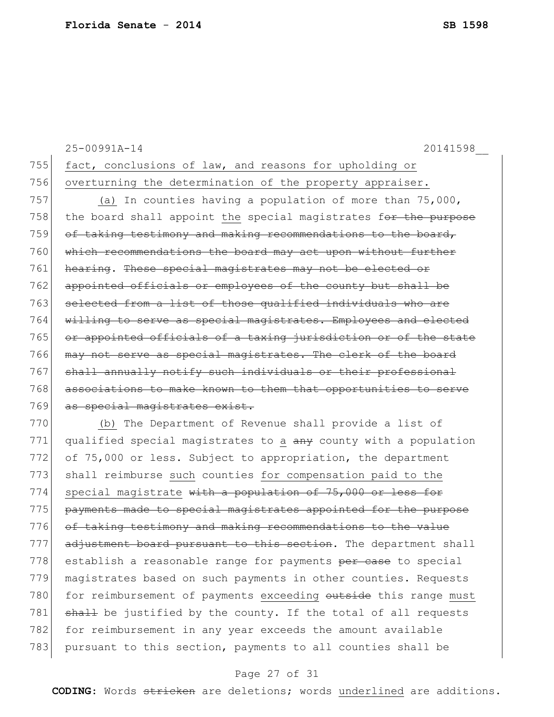|     | 25-00991A-14<br>20141598                                        |
|-----|-----------------------------------------------------------------|
| 755 | fact, conclusions of law, and reasons for upholding or          |
| 756 | overturning the determination of the property appraiser.        |
| 757 | (a) In counties having a population of more than 75,000,        |
| 758 | the board shall appoint the special magistrates for the purpose |
| 759 | of taking testimony and making recommendations to the board,    |
| 760 | which recommendations the board may act upon without further    |
| 761 | hearing. These special magistrates may not be elected or        |
| 762 | appointed officials or employees of the county but shall be     |
| 763 | selected from a list of those qualified individuals who are     |
| 764 | willing to serve as special magistrates. Employees and elected  |
| 765 | or appointed officials of a taxing jurisdiction or of the state |
| 766 | may not serve as special magistrates. The clerk of the board    |
| 767 | shall annually notify such individuals or their professional    |
| 768 | associations to make known to them that opportunities to serve  |
| 769 | as special magistrates exist.                                   |
| 770 | (b) The Department of Revenue shall provide a list of           |
| 771 | qualified special magistrates to a any county with a population |
| 772 | of 75,000 or less. Subject to appropriation, the department     |
| 773 | shall reimburse such counties for compensation paid to the      |
| 774 | special magistrate with a population of 75,000 or less for      |
| 775 | payments made to special magistrates appointed for the purpose  |
| 776 | of taking testimony and making recommendations to the value     |
| 777 | adjustment board pursuant to this section. The department shall |

### Page 27 of 31

778 establish a reasonable range for payments per case to special 779 magistrates based on such payments in other counties. Requests 780 for reimbursement of payments exceeding outside this range must 781 shall be justified by the county. If the total of all requests

782 for reimbursement in any year exceeds the amount available 783 pursuant to this section, payments to all counties shall be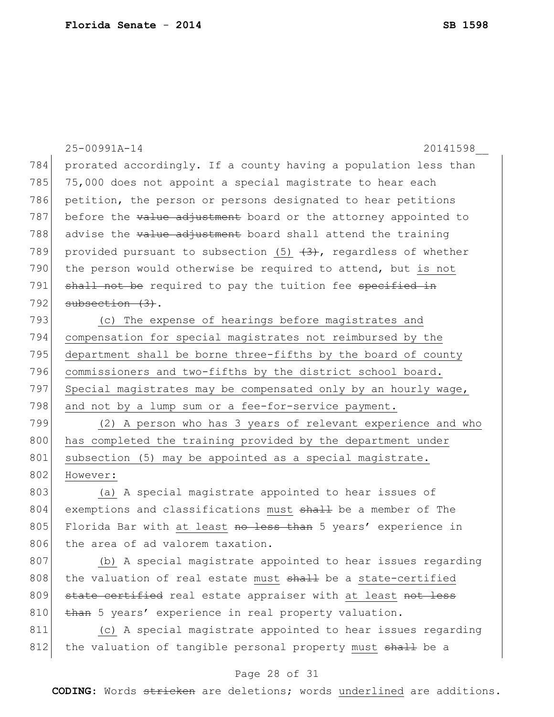|     | 20141598<br>25-00991A-14                                          |  |  |  |  |  |
|-----|-------------------------------------------------------------------|--|--|--|--|--|
| 784 | prorated accordingly. If a county having a population less than   |  |  |  |  |  |
| 785 | 75,000 does not appoint a special magistrate to hear each         |  |  |  |  |  |
| 786 | petition, the person or persons designated to hear petitions      |  |  |  |  |  |
| 787 | before the value adjustment board or the attorney appointed to    |  |  |  |  |  |
| 788 | advise the value adjustment board shall attend the training       |  |  |  |  |  |
| 789 | provided pursuant to subsection (5) $(3)$ , regardless of whether |  |  |  |  |  |
| 790 | the person would otherwise be required to attend, but is not      |  |  |  |  |  |
| 791 | shall not be required to pay the tuition fee specified in         |  |  |  |  |  |
| 792 | $subsection (3)$ .                                                |  |  |  |  |  |
| 793 | (c) The expense of hearings before magistrates and                |  |  |  |  |  |
| 794 | compensation for special magistrates not reimbursed by the        |  |  |  |  |  |
| 795 | department shall be borne three-fifths by the board of county     |  |  |  |  |  |
| 796 | commissioners and two-fifths by the district school board.        |  |  |  |  |  |
| 797 | Special magistrates may be compensated only by an hourly wage,    |  |  |  |  |  |
| 798 | and not by a lump sum or a fee-for-service payment.               |  |  |  |  |  |
| 799 | (2) A person who has 3 years of relevant experience and who       |  |  |  |  |  |
| 800 | has completed the training provided by the department under       |  |  |  |  |  |
| 801 | subsection (5) may be appointed as a special magistrate.          |  |  |  |  |  |
| 802 | However:                                                          |  |  |  |  |  |
| 803 | (a) A special magistrate appointed to hear issues of              |  |  |  |  |  |
| 804 | exemptions and classifications must shall be a member of The      |  |  |  |  |  |
| 805 | Florida Bar with at least no less than 5 years' experience in     |  |  |  |  |  |
| 806 | the area of ad valorem taxation.                                  |  |  |  |  |  |
| 807 | (b) A special magistrate appointed to hear issues regarding       |  |  |  |  |  |
| 808 | the valuation of real estate must shall be a state-certified      |  |  |  |  |  |
| 809 | state certified real estate appraiser with at least not less      |  |  |  |  |  |
| 810 | than 5 years' experience in real property valuation.              |  |  |  |  |  |
| 811 | (c) A special magistrate appointed to hear issues regarding       |  |  |  |  |  |

# 812 the valuation of tangible personal property must shall be a

### Page 28 of 31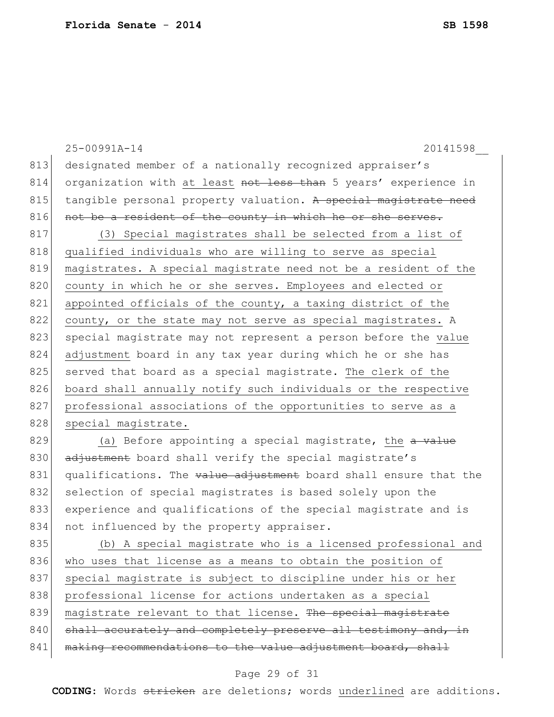|     | 20141598<br>25-00991A-14                                         |  |  |  |  |  |
|-----|------------------------------------------------------------------|--|--|--|--|--|
| 813 | designated member of a nationally recognized appraiser's         |  |  |  |  |  |
| 814 | organization with at least not less than 5 years' experience in  |  |  |  |  |  |
| 815 | tangible personal property valuation. A special magistrate need  |  |  |  |  |  |
| 816 | not be a resident of the county in which he or she serves.       |  |  |  |  |  |
| 817 | (3) Special magistrates shall be selected from a list of         |  |  |  |  |  |
| 818 | qualified individuals who are willing to serve as special        |  |  |  |  |  |
| 819 | magistrates. A special magistrate need not be a resident of the  |  |  |  |  |  |
| 820 | county in which he or she serves. Employees and elected or       |  |  |  |  |  |
| 821 | appointed officials of the county, a taxing district of the      |  |  |  |  |  |
| 822 | county, or the state may not serve as special magistrates. A     |  |  |  |  |  |
| 823 | special magistrate may not represent a person before the value   |  |  |  |  |  |
| 824 | adjustment board in any tax year during which he or she has      |  |  |  |  |  |
| 825 | served that board as a special magistrate. The clerk of the      |  |  |  |  |  |
| 826 | board shall annually notify such individuals or the respective   |  |  |  |  |  |
| 827 | professional associations of the opportunities to serve as a     |  |  |  |  |  |
| 828 | special magistrate.                                              |  |  |  |  |  |
| 829 | (a) Before appointing a special magistrate, the a value          |  |  |  |  |  |
| 830 | adjustment board shall verify the special magistrate's           |  |  |  |  |  |
| 831 | qualifications. The value adjustment board shall ensure that the |  |  |  |  |  |
| 832 | selection of special magistrates is based solely upon the        |  |  |  |  |  |
| 833 | experience and qualifications of the special magistrate and is   |  |  |  |  |  |
| 834 | not influenced by the property appraiser.                        |  |  |  |  |  |
| 835 | (b) A special magistrate who is a licensed professional and      |  |  |  |  |  |
| 836 | who uses that license as a means to obtain the position of       |  |  |  |  |  |
| 837 | special magistrate is subject to discipline under his or her     |  |  |  |  |  |
| 838 | professional license for actions undertaken as a special         |  |  |  |  |  |
| 839 | magistrate relevant to that license. The special magistrate      |  |  |  |  |  |
| 840 | shall accurately and completely preserve all testimony and, in   |  |  |  |  |  |
| 841 | making recommendations to the value adjustment board, shall      |  |  |  |  |  |
|     |                                                                  |  |  |  |  |  |

# Page 29 of 31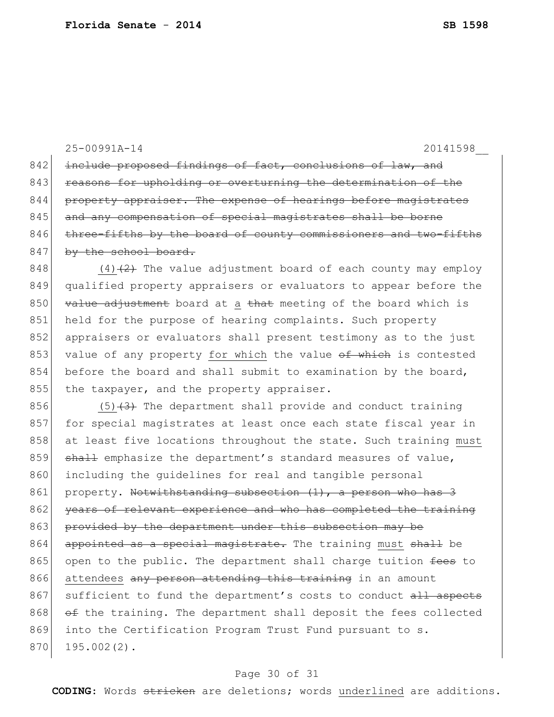25-00991A-14 20141598\_\_ 842 include proposed findings of fact, conclusions of law, and 843 reasons for upholding or overturning the determination of the 844 property appraiser. The expense of hearings before magistrates 845 and any compensation of special magistrates shall be borne  $846$  three-fifths by the board of county commissioners and two-fifths 847 by the school board. 848  $(4)$   $(2)$  The value adjustment board of each county may employ 849 qualified property appraisers or evaluators to appear before the

850  $\vert$  value adjustment board at a that meeting of the board which is 851 held for the purpose of hearing complaints. Such property 852 appraisers or evaluators shall present testimony as to the just 853 value of any property for which the value of which is contested 854 before the board and shall submit to examination by the board, 855 the taxpayer, and the property appraiser.

856  $(5)$   $(3)$  The department shall provide and conduct training 857 for special magistrates at least once each state fiscal year in 858 at least five locations throughout the state. Such training must  $859$  shall emphasize the department's standard measures of value, 860 including the guidelines for real and tangible personal 861 property. Notwithstanding subsection (1), a person who has 3 862 years of relevant experience and who has completed the training 863 provided by the department under this subsection may be 864 appointed as a special magistrate. The training must shall be 865 open to the public. The department shall charge tuition  $\frac{f}{f}$  to 866 attendees any person attending this training in an amount 867 sufficient to fund the department's costs to conduct all aspects  $868$   $\sigma$  the training. The department shall deposit the fees collected 869 into the Certification Program Trust Fund pursuant to s. 870 195.002(2).

### Page 30 of 31